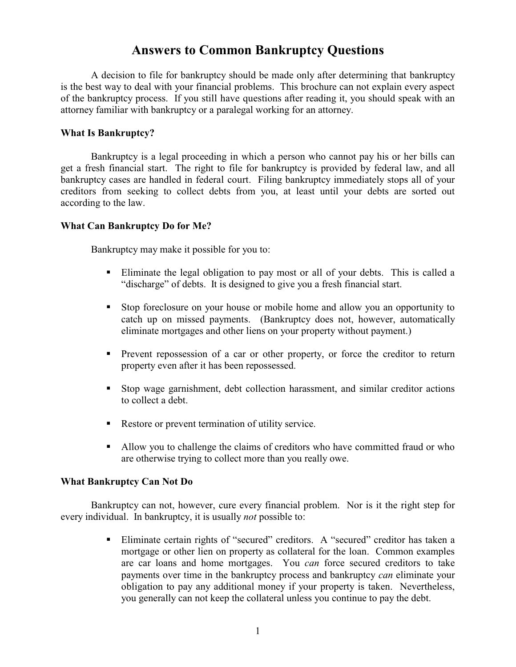# **Answers to Common Bankruptcy Questions**

A decision to file for bankruptcy should be made only after determining that bankruptcy is the best way to deal with your financial problems. This brochure can not explain every aspect of the bankruptcy process. If you still have questions after reading it, you should speak with an attorney familiar with bankruptcy or a paralegal working for an attorney.

# **What Is Bankruptcy?**

Bankruptcy is a legal proceeding in which a person who cannot pay his or her bills can get a fresh financial start. The right to file for bankruptcy is provided by federal law, and all bankruptcy cases are handled in federal court. Filing bankruptcy immediately stops all of your creditors from seeking to collect debts from you, at least until your debts are sorted out according to the law.

# **What Can Bankruptcy Do for Me?**

Bankruptcy may make it possible for you to:

- § Eliminate the legal obligation to pay most or all of your debts. This is called a "discharge" of debts. It is designed to give you a fresh financial start.
- § Stop foreclosure on your house or mobile home and allow you an opportunity to catch up on missed payments. (Bankruptcy does not, however, automatically eliminate mortgages and other liens on your property without payment.)
- Prevent repossession of a car or other property, or force the creditor to return property even after it has been repossessed.
- § Stop wage garnishment, debt collection harassment, and similar creditor actions to collect a debt.
- Restore or prevent termination of utility service.
- § Allow you to challenge the claims of creditors who have committed fraud or who are otherwise trying to collect more than you really owe.

# **What Bankruptcy Can Not Do**

Bankruptcy can not, however, cure every financial problem. Nor is it the right step for every individual. In bankruptcy, it is usually *not* possible to:

> § Eliminate certain rights of "secured" creditors. A "secured" creditor has taken a mortgage or other lien on property as collateral for the loan. Common examples are car loans and home mortgages. You *can* force secured creditors to take payments over time in the bankruptcy process and bankruptcy *can* eliminate your obligation to pay any additional money if your property is taken. Nevertheless, you generally can not keep the collateral unless you continue to pay the debt.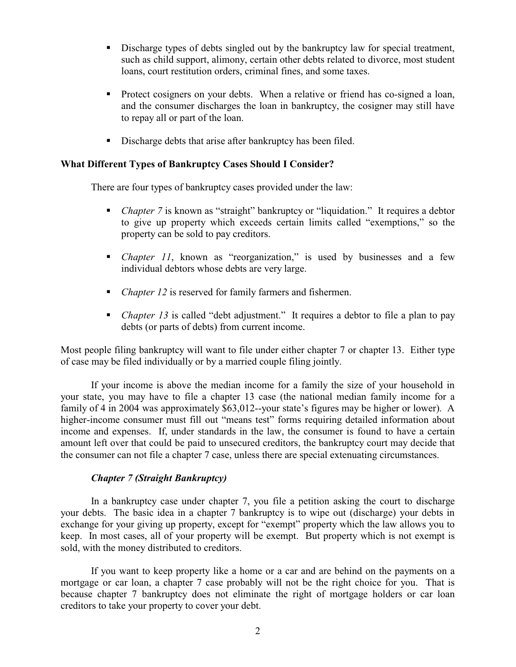- Discharge types of debts singled out by the bankruptcy law for special treatment, such as child support, alimony, certain other debts related to divorce, most student loans, court restitution orders, criminal fines, and some taxes.
- Protect cosigners on your debts. When a relative or friend has co-signed a loan, and the consumer discharges the loan in bankruptcy, the cosigner may still have to repay all or part of the loan.
- Discharge debts that arise after bankruptcy has been filed.

# **What Different Types of Bankruptcy Cases Should I Consider?**

There are four types of bankruptcy cases provided under the law:

- *Chapter 7* is known as "straight" bankruptcy or "liquidation." It requires a debtor to give up property which exceeds certain limits called "exemptions," so the property can be sold to pay creditors.
- § *Chapter 11*, known as "reorganization," is used by businesses and a few individual debtors whose debts are very large.
- *Chapter 12* is reserved for family farmers and fishermen.
- *Chapter* 13 is called "debt adjustment." It requires a debtor to file a plan to pay debts (or parts of debts) from current income.

Most people filing bankruptcy will want to file under either chapter 7 or chapter 13. Either type of case may be filed individually or by a married couple filing jointly.

If your income is above the median income for a family the size of your household in your state, you may have to file a chapter 13 case (the national median family income for a family of 4 in 2004 was approximately \$63,012--your state's figures may be higher or lower). A higher-income consumer must fill out "means test" forms requiring detailed information about income and expenses. If, under standards in the law, the consumer is found to have a certain amount left over that could be paid to unsecured creditors, the bankruptcy court may decide that the consumer can not file a chapter 7 case, unless there are special extenuating circumstances.

#### *Chapter 7 (Straight Bankruptcy)*

In a bankruptcy case under chapter 7, you file a petition asking the court to discharge your debts. The basic idea in a chapter 7 bankruptcy is to wipe out (discharge) your debts in exchange for your giving up property, except for "exempt" property which the law allows you to keep. In most cases, all of your property will be exempt. But property which is not exempt is sold, with the money distributed to creditors.

If you want to keep property like a home or a car and are behind on the payments on a mortgage or car loan, a chapter 7 case probably will not be the right choice for you. That is because chapter 7 bankruptcy does not eliminate the right of mortgage holders or car loan creditors to take your property to cover your debt.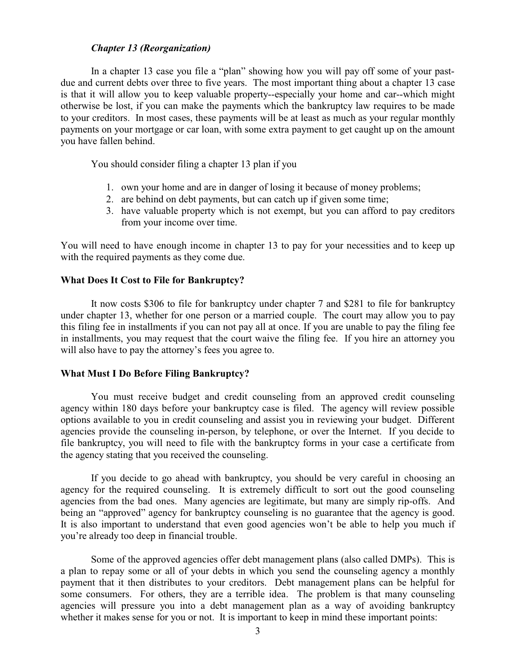#### *Chapter 13 (Reorganization)*

In a chapter 13 case you file a "plan" showing how you will pay off some of your pastdue and current debts over three to five years. The most important thing about a chapter 13 case is that it will allow you to keep valuable property--especially your home and car--which might otherwise be lost, if you can make the payments which the bankruptcy law requires to be made to your creditors. In most cases, these payments will be at least as much as your regular monthly payments on your mortgage or car loan, with some extra payment to get caught up on the amount you have fallen behind.

You should consider filing a chapter 13 plan if you

- 1. own your home and are in danger of losing it because of money problems;
- 2. are behind on debt payments, but can catch up if given some time;
- 3. have valuable property which is not exempt, but you can afford to pay creditors from your income over time.

You will need to have enough income in chapter 13 to pay for your necessities and to keep up with the required payments as they come due.

# **What Does It Cost to File for Bankruptcy?**

It now costs \$306 to file for bankruptcy under chapter 7 and \$281 to file for bankruptcy under chapter 13, whether for one person or a married couple. The court may allow you to pay this filing fee in installments if you can not pay all at once. If you are unable to pay the filing fee in installments, you may request that the court waive the filing fee. If you hire an attorney you will also have to pay the attorney's fees you agree to.

# **What Must I Do Before Filing Bankruptcy?**

You must receive budget and credit counseling from an approved credit counseling agency within 180 days before your bankruptcy case is filed. The agency will review possible options available to you in credit counseling and assist you in reviewing your budget. Different agencies provide the counseling in-person, by telephone, or over the Internet. If you decide to file bankruptcy, you will need to file with the bankruptcy forms in your case a certificate from the agency stating that you received the counseling.

If you decide to go ahead with bankruptcy, you should be very careful in choosing an agency for the required counseling. It is extremely difficult to sort out the good counseling agencies from the bad ones. Many agencies are legitimate, but many are simply rip-offs. And being an "approved" agency for bankruptcy counseling is no guarantee that the agency is good. It is also important to understand that even good agencies won't be able to help you much if you're already too deep in financial trouble.

Some of the approved agencies offer debt management plans (also called DMPs). This is a plan to repay some or all of your debts in which you send the counseling agency a monthly payment that it then distributes to your creditors. Debt management plans can be helpful for some consumers. For others, they are a terrible idea. The problem is that many counseling agencies will pressure you into a debt management plan as a way of avoiding bankruptcy whether it makes sense for you or not. It is important to keep in mind these important points: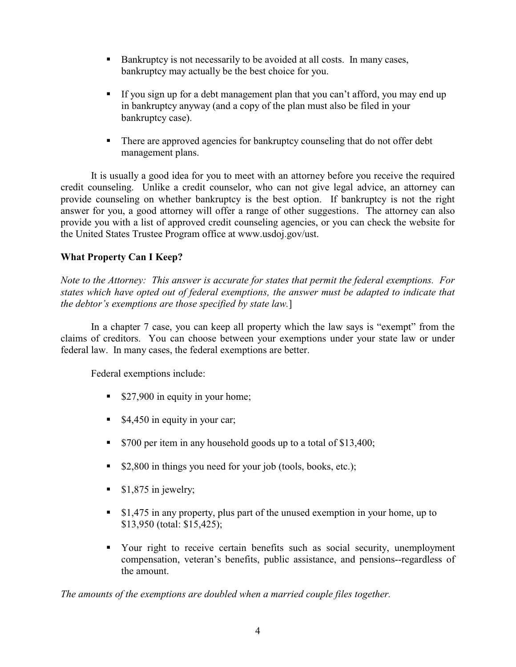- Bankruptcy is not necessarily to be avoided at all costs. In many cases, bankruptcy may actually be the best choice for you.
- If you sign up for a debt management plan that you can't afford, you may end up in bankruptcy anyway (and a copy of the plan must also be filed in your bankruptcy case).
- There are approved agencies for bankruptcy counseling that do not offer debt management plans.

It is usually a good idea for you to meet with an attorney before you receive the required credit counseling. Unlike a credit counselor, who can not give legal advice, an attorney can provide counseling on whether bankruptcy is the best option. If bankruptcy is not the right answer for you, a good attorney will offer a range of other suggestions. The attorney can also provide you with a list of approved credit counseling agencies, or you can check the website for the United States Trustee Program office at www.usdoj.gov/ust.

# **What Property Can I Keep?**

*Note to the Attorney: This answer is accurate for states that permit the federal exemptions. For states which have opted out of federal exemptions, the answer must be adapted to indicate that the debtor's exemptions are those specified by state law.*]

In a chapter 7 case, you can keep all property which the law says is "exempt" from the claims of creditors. You can choose between your exemptions under your state law or under federal law. In many cases, the federal exemptions are better.

Federal exemptions include:

- \$27,900 in equity in your home;
- \$4,450 in equity in your car;
- \$700 per item in any household goods up to a total of \$13,400;
- \$2,800 in things you need for your job (tools, books, etc.);
- $\blacksquare$  \$1,875 in jewelry;
- § \$1,475 in any property, plus part of the unused exemption in your home, up to \$13,950 (total: \$15,425);
- § Your right to receive certain benefits such as social security, unemployment compensation, veteran's benefits, public assistance, and pensions--regardless of the amount.

*The amounts of the exemptions are doubled when a married couple files together.*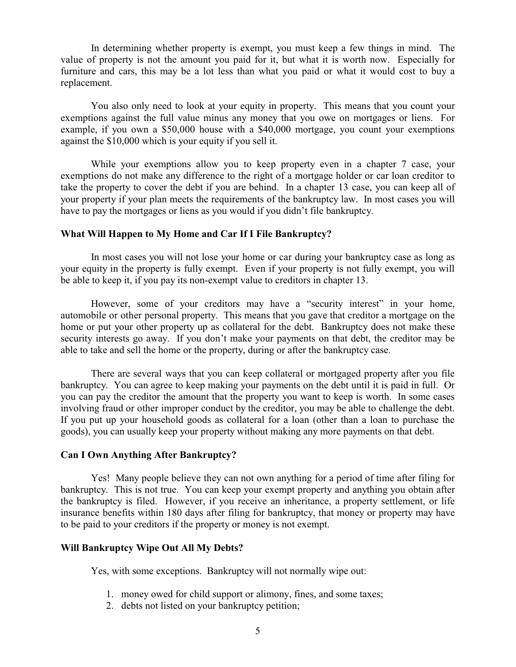In determining whether property is exempt, you must keep a few things in mind. The value of property is not the amount you paid for it, but what it is worth now. Especially for furniture and cars, this may be a lot less than what you paid or what it would cost to buy a replacement.

You also only need to look at your equity in property. This means that you count your exemptions against the full value minus any money that you owe on mortgages or liens. For example, if you own a \$50,000 house with a \$40,000 mortgage, you count your exemptions against the \$10,000 which is your equity if you sell it.

While your exemptions allow you to keep property even in a chapter 7 case, your exemptions do not make any difference to the right of a mortgage holder or car loan creditor to take the property to cover the debt if you are behind. In a chapter 13 case, you can keep all of your property if your plan meets the requirements of the bankruptcy law. In most cases you will have to pay the mortgages or liens as you would if you didn't file bankruptcy.

#### **What Will Happen to My Home and Car If I File Bankruptcy?**

In most cases you will not lose your home or car during your bankruptcy case as long as your equity in the property is fully exempt. Even if your property is not fully exempt, you will be able to keep it, if you pay its non-exempt value to creditors in chapter 13.

However, some of your creditors may have a "security interest" in your home, automobile or other personal property. This means that you gave that creditor a mortgage on the home or put your other property up as collateral for the debt. Bankruptcy does not make these security interests go away. If you don't make your payments on that debt, the creditor may be able to take and sell the home or the property, during or after the bankruptcy case.

There are several ways that you can keep collateral or mortgaged property after you file bankruptcy. You can agree to keep making your payments on the debt until it is paid in full. Or you can pay the creditor the amount that the property you want to keep is worth. In some cases involving fraud or other improper conduct by the creditor, you may be able to challenge the debt. If you put up your household goods as collateral for a loan (other than a loan to purchase the goods), you can usually keep your property without making any more payments on that debt.

# **Can I Own Anything After Bankruptcy?**

Yes! Many people believe they can not own anything for a period of time after filing for bankruptcy. This is not true. You can keep your exempt property and anything you obtain after the bankruptcy is filed. However, if you receive an inheritance, a property settlement, or life insurance benefits within 180 days after filing for bankruptcy, that money or property may have to be paid to your creditors if the property or money is not exempt.

# **Will Bankruptcy Wipe Out All My Debts?**

Yes, with some exceptions. Bankruptcy will not normally wipe out:

- 1. money owed for child support or alimony, fines, and some taxes;
- 2. debts not listed on your bankruptcy petition;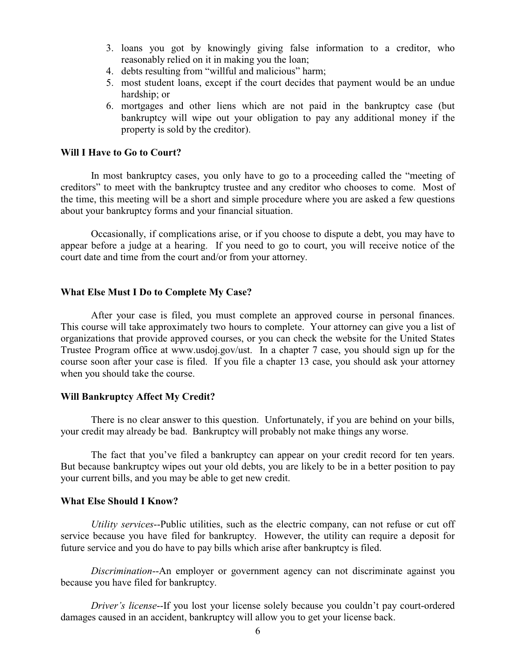- 3. loans you got by knowingly giving false information to a creditor, who reasonably relied on it in making you the loan;
- 4. debts resulting from "willful and malicious" harm;
- 5. most student loans, except if the court decides that payment would be an undue hardship; or
- 6. mortgages and other liens which are not paid in the bankruptcy case (but bankruptcy will wipe out your obligation to pay any additional money if the property is sold by the creditor).

# **Will I Have to Go to Court?**

In most bankruptcy cases, you only have to go to a proceeding called the "meeting of creditors" to meet with the bankruptcy trustee and any creditor who chooses to come. Most of the time, this meeting will be a short and simple procedure where you are asked a few questions about your bankruptcy forms and your financial situation.

Occasionally, if complications arise, or if you choose to dispute a debt, you may have to appear before a judge at a hearing. If you need to go to court, you will receive notice of the court date and time from the court and/or from your attorney.

# **What Else Must I Do to Complete My Case?**

After your case is filed, you must complete an approved course in personal finances. This course will take approximately two hours to complete. Your attorney can give you a list of organizations that provide approved courses, or you can check the website for the United States Trustee Program office at www.usdoj.gov/ust. In a chapter 7 case, you should sign up for the course soon after your case is filed. If you file a chapter 13 case, you should ask your attorney when you should take the course.

#### **Will Bankruptcy Affect My Credit?**

There is no clear answer to this question. Unfortunately, if you are behind on your bills, your credit may already be bad. Bankruptcy will probably not make things any worse.

The fact that you've filed a bankruptcy can appear on your credit record for ten years. But because bankruptcy wipes out your old debts, you are likely to be in a better position to pay your current bills, and you may be able to get new credit.

# **What Else Should I Know?**

*Utility services*--Public utilities, such as the electric company, can not refuse or cut off service because you have filed for bankruptcy. However, the utility can require a deposit for future service and you do have to pay bills which arise after bankruptcy is filed.

*Discrimination*--An employer or government agency can not discriminate against you because you have filed for bankruptcy.

*Driver's license*--If you lost your license solely because you couldn't pay court-ordered damages caused in an accident, bankruptcy will allow you to get your license back.